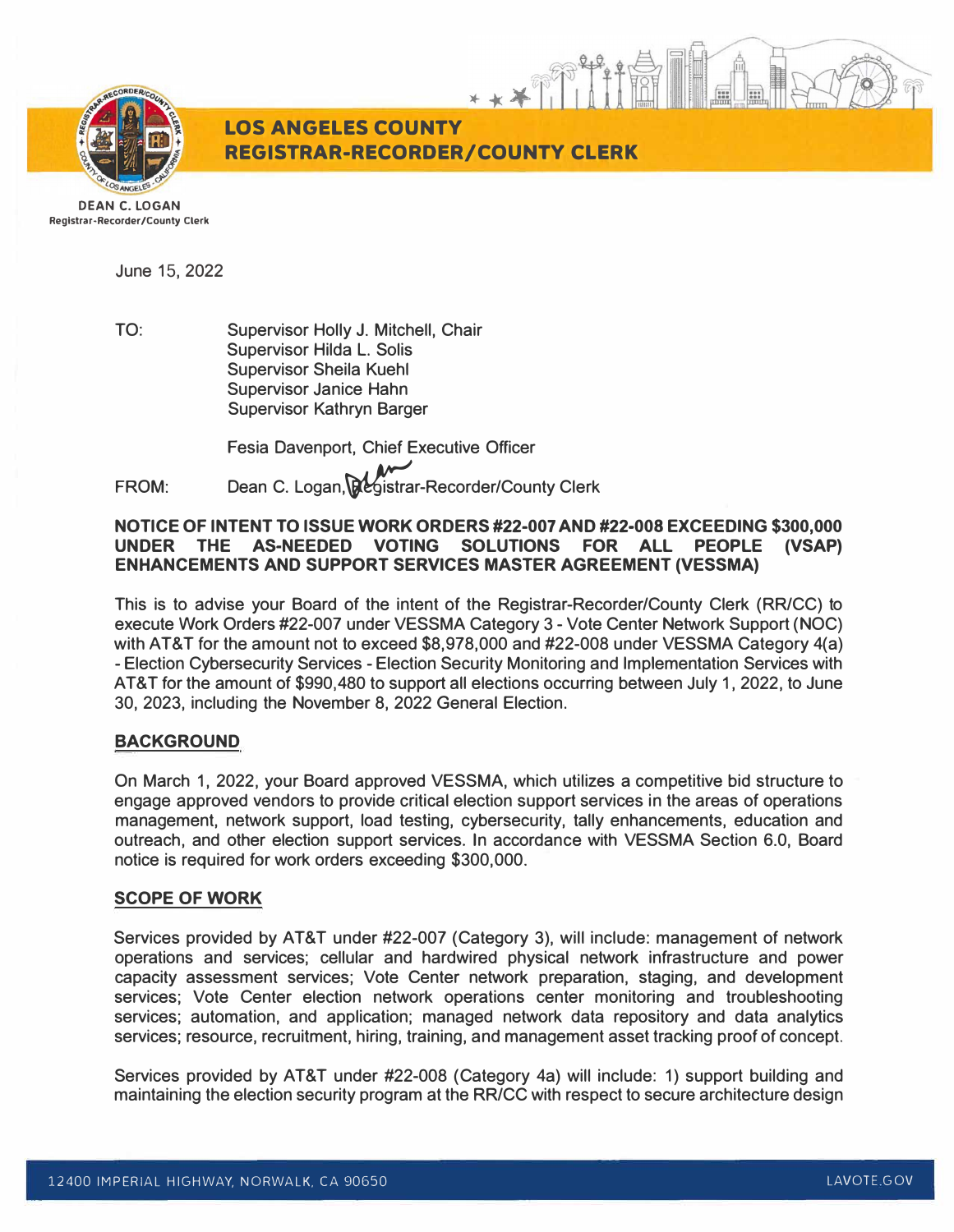

**LOS ANGELES COUNTY REGISTRAR-RECORDER/COUNTY CLERK** 

**DEAN C. LOGAN Registrar-Recorder /County Clerk** 

June 15, 2022

TO: Supervisor Holly J. Mitchell, Chair Supervisor Hilda L. Solis Supervisor Sheila Kuehl Supervisor Janice Hahn Supervisor Kathryn Barger

Fesia Davenport, Chief Executive Officer

**FROM:**  Dean C. Logan, DeGistrar-Recorder/County Clerk

## **NOTICE OF INTENT TO ISSUE WORK ORDERS #22-007 AND #22-008 EXCEEDING \$300,000 UNDER THE AS-NEEDED VOTING SOLUTIONS FOR ALL PEOPLE (VSAP) ENHANCEMENTS AND SUPPORT SERVICES MASTER AGREEMENT (VESSMA)**

This is to advise your Board of the intent of the Registrar-Recorder/County Clerk (RR/CC) to execute Work Orders #22-007 under VESSMA Category 3 - Vote Center Network Support (NOC) with AT&T for the amount not to exceed \$8,978,000 and #22-008 under VESSMA Category 4(a) - Election Cybersecurity Services - Election Security Monitoring and Implementation Services with AT&T for the amount of \$990,480 to support all elections occurring between July 1, 2022, to June 30, 2023, including the November 8, 2022 General Election.

# **BACKGROUND**

On March 1, 2022, your Board approved VESSMA, which utilizes a competitive bid structure to engage approved vendors to provide critical election support services in the areas of operations management, network support, load testing, cybersecurity, tally enhancements, education and outreach, and other election support services. In accordance with VESSMA Section 6.0, Board notice is required for work orders exceeding \$300,000.

## **SCOPE OF WORK**

Services provided by AT&T under #22-007 (Category 3), will include: management of network operations and services; cellular and hardwired physical network infrastructure and power capacity assessment services; Vote Center network preparation, staging, and development services; Vote Center election network operations center monitoring and troubleshooting services; automation, and application; managed network data repository and data analytics services; resource, recruitment, hiring, training, and management asset tracking proof of concept.

Services provided by AT&T under #22-008 (Category 4a) will include: 1) support building and maintaining the election security program at the RR/CC with respect to secure architecture design